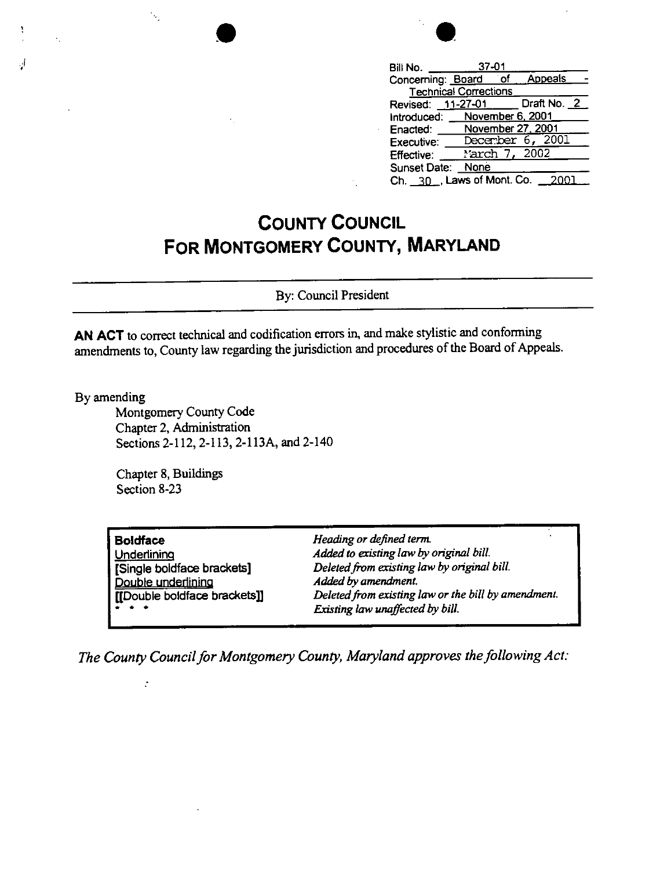| ł |  |
|---|--|
|   |  |

| $37 - 01$<br>Bill No.                      |
|--------------------------------------------|
| <b>Appeals</b><br>`of<br>Concerning: Board |
| <b>Technical Corrections</b>               |
| Draft No. 2<br>Revised: 11-27-01           |
| November 6, 2001<br>Introduced:            |
| November 27, 2001<br>Enacted:              |
| 6, 2001<br>December<br>Executive:          |
| 2002<br>.rch 7,<br>Effective:              |
| Sunset Date:<br>None                       |
| Ch. 30 , Laws of Mont. Co.<br>2001         |

## **COUNTY COUNCIL FOR MONTGOMERY COUNTY, MARYLAND**

By: Council President

**AN ACT** to correct technical and codification errors in, and make stylistic and conforming amendments to, County law regarding the jurisdiction and procedures of the Board of Appeals.

By amending

.j •

Montgomery County Code Chapter 2, Administration Sections 2-112, 2-113, 2-113A, and 2-140

Chapter 8, Buildings Section 8-23

 $\ddot{\cdot}$ 

Ų,

| <b>Boldface</b>                                                                             | Heading or defined term.                            |
|---------------------------------------------------------------------------------------------|-----------------------------------------------------|
| Underlining                                                                                 | Added to existing law by original bill.             |
| [Single boldface brackets]                                                                  | Deleted from existing law by original bill.         |
| Double underlining                                                                          | Added by amendment.                                 |
| [[Double boldface brackets]]                                                                | Deleted from existing law or the bill by amendment. |
| $\begin{array}{cccccccccccccc} \bullet & \bullet & \bullet & \bullet & \bullet \end{array}$ | Existing law unaffected by bill.                    |

*The County Council for Montgomery County, Maryland approves the following Act:*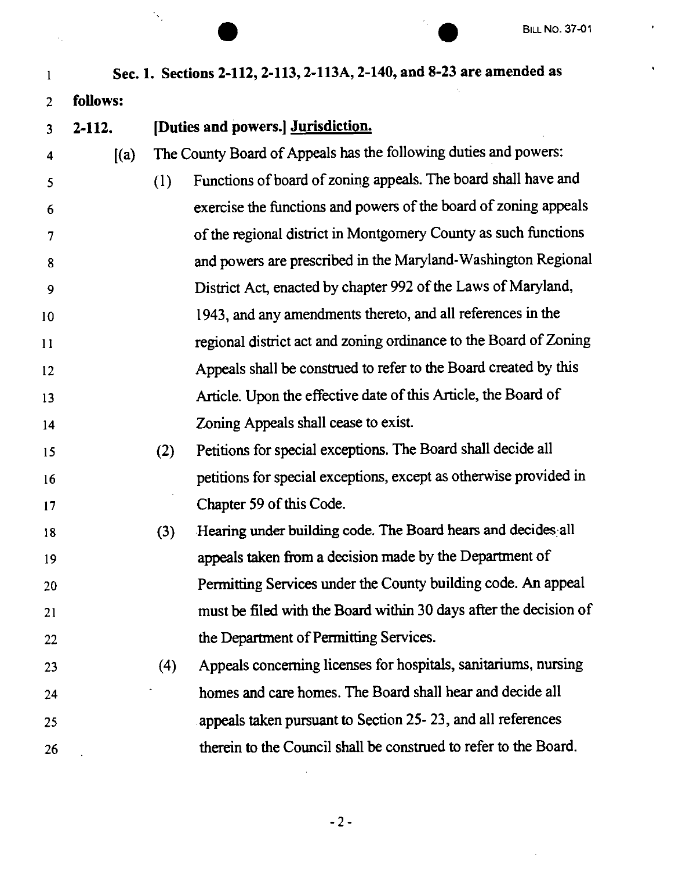$\mathcal{A}^{\mathcal{A}}$ 

 $\ddot{\phantom{0}}$ 

|    |            |     |                                                                       | <b>BILL NO. 37-01</b> |
|----|------------|-----|-----------------------------------------------------------------------|-----------------------|
| 1  |            |     | Sec. 1. Sections 2-112, 2-113, 2-113A, 2-140, and 8-23 are amended as |                       |
| 2  | follows:   |     |                                                                       |                       |
| 3  | $2 - 112.$ |     | [Duties and powers.] Jurisdiction.                                    |                       |
| 4  | (a)        |     | The County Board of Appeals has the following duties and powers:      |                       |
| 5  |            | (1) | Functions of board of zoning appeals. The board shall have and        |                       |
| 6  |            |     | exercise the functions and powers of the board of zoning appeals      |                       |
| 7  |            |     | of the regional district in Montgomery County as such functions       |                       |
| 8  |            |     | and powers are prescribed in the Maryland-Washington Regional         |                       |
| 9  |            |     | District Act, enacted by chapter 992 of the Laws of Maryland,         |                       |
| 10 |            |     | 1943, and any amendments thereto, and all references in the           |                       |
| 11 |            |     | regional district act and zoning ordinance to the Board of Zoning     |                       |
| 12 |            |     | Appeals shall be construed to refer to the Board created by this      |                       |
| 13 |            |     | Article. Upon the effective date of this Article, the Board of        |                       |
| 14 |            |     | Zoning Appeals shall cease to exist.                                  |                       |
| 15 |            | (2) | Petitions for special exceptions. The Board shall decide all          |                       |
| 16 |            |     | petitions for special exceptions, except as otherwise provided in     |                       |
| 17 |            |     | Chapter 59 of this Code.                                              |                       |
| 18 |            | (3) | Hearing under building code. The Board hears and decides all          |                       |
| 19 |            |     | appeals taken from a decision made by the Department of               |                       |
| 20 |            |     | Permitting Services under the County building code. An appeal         |                       |
| 21 |            |     | must be filed with the Board within 30 days after the decision of     |                       |
| 22 |            |     | the Department of Permitting Services.                                |                       |
| 23 |            | (4) | Appeals concerning licenses for hospitals, sanitariums, nursing       |                       |
| 24 |            |     | homes and care homes. The Board shall hear and decide all             |                       |
| 25 |            |     | appeals taken pursuant to Section 25-23, and all references           |                       |
| 26 |            |     | therein to the Council shall be construed to refer to the Board.      |                       |

 $\ddot{\phantom{0}}$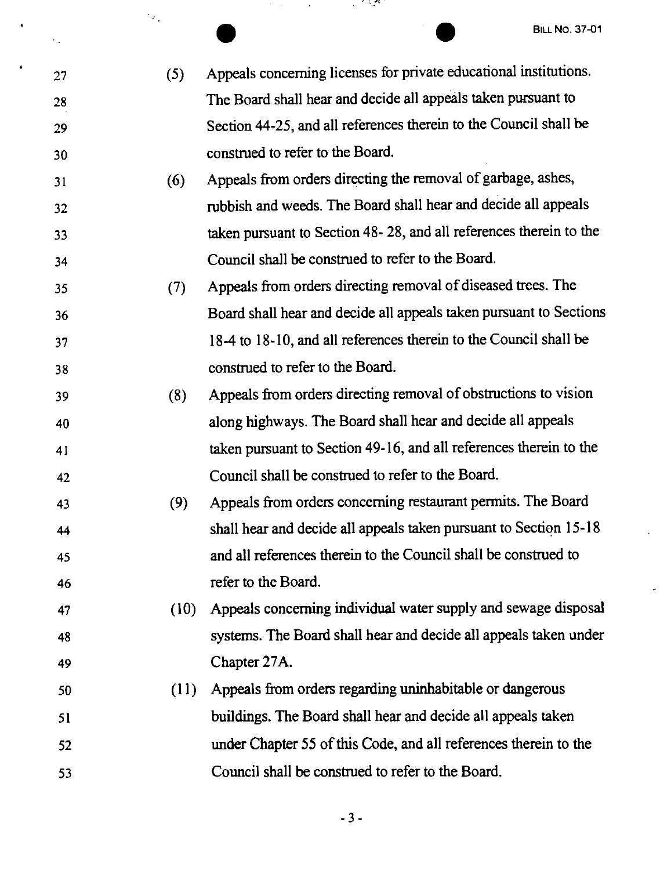- 27 28 29 30 31 32 33 34 35 36 37 38 39 40 41 42 43 • BILL NO. 37-01<br>
(5) Appeals concerning licenses for private educational institutions. The Board shall hear and decide all appeals taken pursuant to Section 44-25, and all references therein to the Council shall be construed to refer to the Board. (6) Appeals from orders directing the removal of garbage, ashes, rubbish and weeds. The Board shall hear and decide all appeals taken pursuant to Section 48- 28, and all references therein to the Council shall be construed to refer to the Board. (7) Appeals from orders directing removal of diseased trees. The Board shall hear and decide all appeals taken pursuant to Sections 18-4 to 18-10, and all references therein to the Council shall be construed to refer to the Board. (8) Appeals from orders directing removal of obstructions to vision along highways. The Board shall hear and decide all appeals taken pursuant to Section 49-16, and all references therein to the Council shall be construed to refer to the Board. (9) Appeals from orders concerning restaurant permits. The Board
- 44 45 46 shall hear and decide all appeals taken pursuant to Section 15-18 and all references therein to the Council shall be construed to refer to the Board.

47

 $\mathcal{A}_1$ 

 $\epsilon_{\rm in}$ 

48

49

- (10) Appeals concerning individual water supply and sewage disposal systems. The Board shall hear and decide all appeals taken under Chapter 27A.
- 50 51 52 53 ( 11) Appeals from orders regarding uninhabitable or dangerous buildings. The Board shall hear and decide all appeals taken under Chapter 55 of this Code, and all references therein to the Council shall be construed to refer to the Board.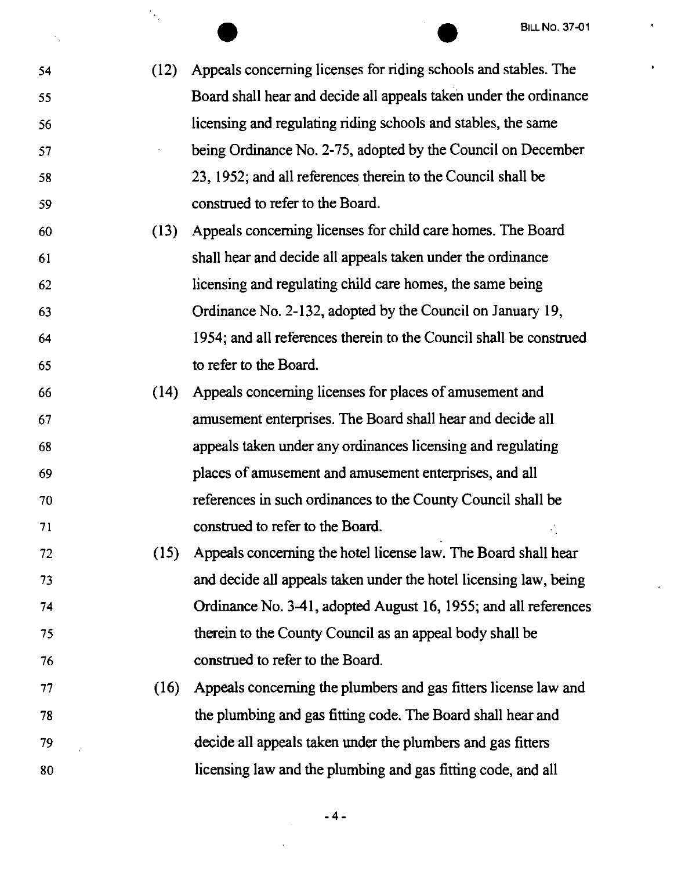54 55 56 57 58 59 • • BILL NO. 37-01 (12) Appeals concerning licenses for riding schools and stables. The Board shall hear and decide all appeals taken under the ordinance licensing and regulating riding schools and stables, the same being Ordinance No. 2-75, adopted by the Council on December 23, 1952; and all references therein to the Council shall be construed to refer to the Board.

 $\mathcal{F}_{\mathbf{z},\mathbf{z}}$ 

×.

- 60 61 62 63 64 65 ( 13) Appeals concerning licenses for child care homes. The Board shall hear and decide all appeals taken under the ordinance licensing and regulating child care homes, the same being Ordinance No. 2-132, adopted by the Council on January 19, 1954; and all references therein to the Council shall be construed to refer to the Board.
- 66 67 68 69 70 71 ( 14) Appeals concerning licenses for places of amusement and amusement enterprises. The Board shall hear and decide all appeals taken under any ordinances licensing and regulating places of amusement and amusement enterprises, and all references in such ordinances to the County Council shall be construed to refer to the Board.
- 72 73 74 75 76 (15) Appeals concerning the hotel license law. The Board shall hear and decide all appeals taken under the hotel licensing law, being Ordinance No. 3-41, adopted August 16, 1955; and all references therein to the County Council as an appeal body shall be construed to refer to the Board.
- 77 78 79 80 ( 16) Appeals concerning the plumbers and gas fitters license law and the plumbing and gas fitting code. The Board shall hear and decide all appeals taken under the plumbers and gas fitters licensing law and the plumbing and gas fitting code, and all

-4-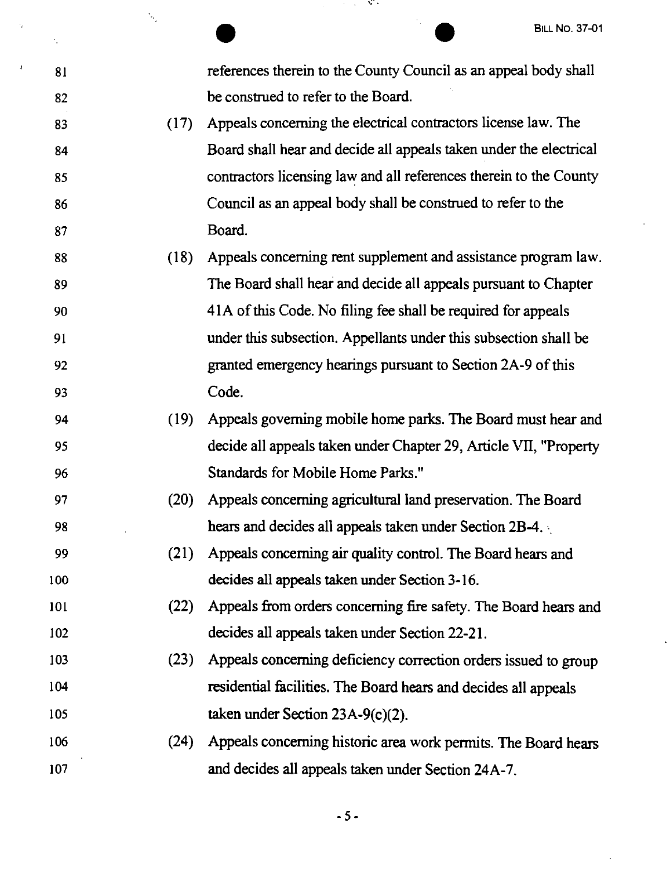$\ddot{\phantom{0}}$ 

l,

|     | ν,   | <b>BILL NO. 37-01</b>                                              |
|-----|------|--------------------------------------------------------------------|
| 81  |      | references therein to the County Council as an appeal body shall   |
| 82  |      | be construed to refer to the Board.                                |
| 83  | (17) | Appeals concerning the electrical contractors license law. The     |
| 84  |      | Board shall hear and decide all appeals taken under the electrical |
| 85  |      | contractors licensing law and all references therein to the County |
| 86  |      | Council as an appeal body shall be construed to refer to the       |
| 87  |      | Board.                                                             |
| 88  | (18) | Appeals concerning rent supplement and assistance program law.     |
| 89  |      | The Board shall hear and decide all appeals pursuant to Chapter    |
| 90  |      | 41A of this Code. No filing fee shall be required for appeals      |
| 91  |      | under this subsection. Appellants under this subsection shall be   |
| 92  |      | granted emergency hearings pursuant to Section 2A-9 of this        |
| 93  |      | Code.                                                              |
| 94  | (19) | Appeals governing mobile home parks. The Board must hear and       |
| 95  |      | decide all appeals taken under Chapter 29, Article VII, "Property  |
| 96  |      | Standards for Mobile Home Parks."                                  |
| 97  | (20) | Appeals concerning agricultural land preservation. The Board       |
| 98  |      | hears and decides all appeals taken under Section 2B-4.            |
| 99  | (21) | Appeals concerning air quality control. The Board hears and        |
| 100 |      | decides all appeals taken under Section 3-16.                      |
| 101 | (22) | Appeals from orders concerning fire safety. The Board hears and    |
| 102 |      | decides all appeals taken under Section 22-21.                     |
| 103 | (23) | Appeals concerning deficiency correction orders issued to group    |
| 104 |      | residential facilities. The Board hears and decides all appeals    |
| 105 |      | taken under Section $23A-9(c)(2)$ .                                |
| 106 | (24) | Appeals concerning historic area work permits. The Board hears     |
| 107 |      | and decides all appeals taken under Section 24A-7.                 |

 $\bar{\mathbf{v}}$ 

 $\mathfrak{g}$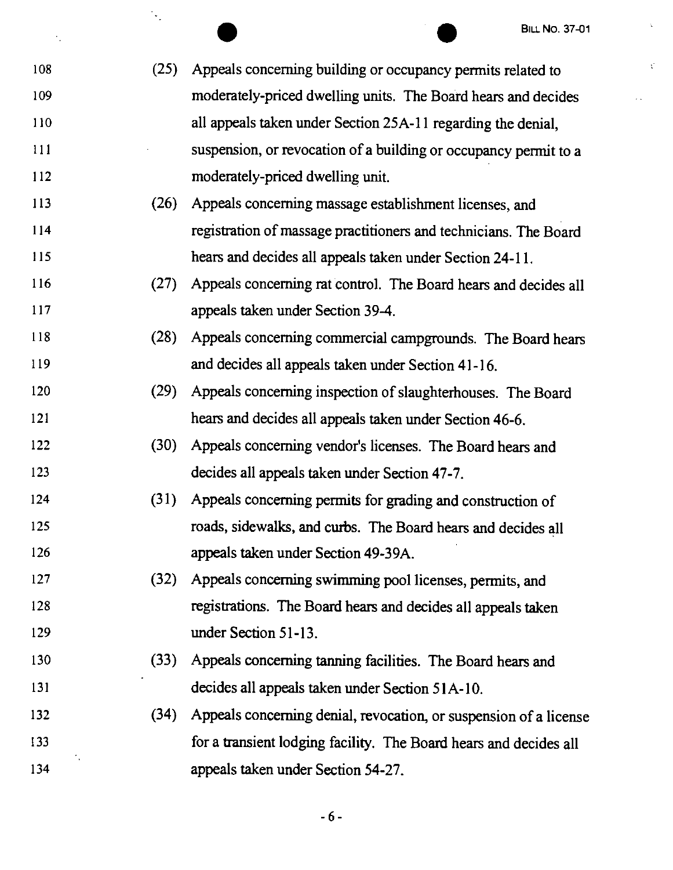i,

 $\mathcal{C}$ 

 $\ddot{\phantom{a}}$  .

|     | $\downarrow$ | <b>BILL NO. 37-01</b>                                             |
|-----|--------------|-------------------------------------------------------------------|
|     |              |                                                                   |
| 108 | (25)         | Appeals concerning building or occupancy permits related to       |
| 109 |              | moderately-priced dwelling units. The Board hears and decides     |
| 110 |              | all appeals taken under Section 25A-11 regarding the denial,      |
| 111 |              | suspension, or revocation of a building or occupancy permit to a  |
| 112 |              | moderately-priced dwelling unit.                                  |
| 113 | (26)         | Appeals concerning massage establishment licenses, and            |
| 114 |              | registration of massage practitioners and technicians. The Board  |
| 115 |              | hears and decides all appeals taken under Section 24-11.          |
| 116 | (27)         | Appeals concerning rat control. The Board hears and decides all   |
| 117 |              | appeals taken under Section 39-4.                                 |
| 118 | (28)         | Appeals concerning commercial campgrounds. The Board hears        |
| 119 |              | and decides all appeals taken under Section 41-16.                |
| 120 | (29)         | Appeals concerning inspection of slaughterhouses. The Board       |
| 121 |              | hears and decides all appeals taken under Section 46-6.           |
| 122 | (30)         | Appeals concerning vendor's licenses. The Board hears and         |
| 123 |              | decides all appeals taken under Section 47-7.                     |
| 124 | (31)         | Appeals concerning permits for grading and construction of        |
| 125 |              | roads, sidewalks, and curbs. The Board hears and decides all      |
| 126 |              | appeals taken under Section 49-39A.                               |
| 127 | (32)         | Appeals concerning swimming pool licenses, permits, and           |
| 128 |              | registrations. The Board hears and decides all appeals taken      |
| 129 |              | under Section 51-13.                                              |
| 130 | (33)         | Appeals concerning tanning facilities. The Board hears and        |
| 131 |              | decides all appeals taken under Section 51A-10.                   |
| 132 | (34)         | Appeals concerning denial, revocation, or suspension of a license |
| 133 |              | for a transient lodging facility. The Board hears and decides all |
| 134 |              | appeals taken under Section 54-27.                                |
|     |              |                                                                   |

-6-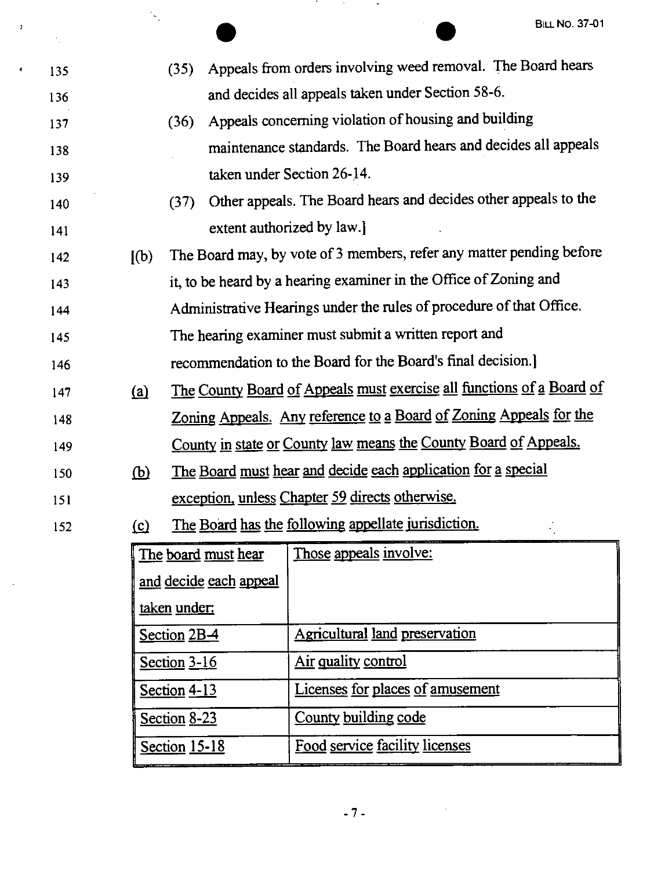|     |            |                                                                    |                                                                       |                                                                      |  |  | <b>BILL NO. 37-01</b> |
|-----|------------|--------------------------------------------------------------------|-----------------------------------------------------------------------|----------------------------------------------------------------------|--|--|-----------------------|
| 135 |            | (35)                                                               |                                                                       | Appeals from orders involving weed removal. The Board hears          |  |  |                       |
| 136 |            |                                                                    |                                                                       | and decides all appeals taken under Section 58-6.                    |  |  |                       |
| 137 |            | (36)                                                               |                                                                       | Appeals concerning violation of housing and building                 |  |  |                       |
| 138 |            |                                                                    | maintenance standards. The Board hears and decides all appeals        |                                                                      |  |  |                       |
| 139 |            |                                                                    |                                                                       | taken under Section 26-14.                                           |  |  |                       |
| 140 |            | (37)                                                               |                                                                       | Other appeals. The Board hears and decides other appeals to the      |  |  |                       |
| 141 |            |                                                                    |                                                                       | extent authorized by law.]                                           |  |  |                       |
| 142 | [(b)]      |                                                                    |                                                                       | The Board may, by vote of 3 members, refer any matter pending before |  |  |                       |
| 143 |            |                                                                    |                                                                       | it, to be heard by a hearing examiner in the Office of Zoning and    |  |  |                       |
| 144 |            |                                                                    |                                                                       | Administrative Hearings under the rules of procedure of that Office. |  |  |                       |
| 145 |            |                                                                    |                                                                       | The hearing examiner must submit a written report and                |  |  |                       |
| 146 |            |                                                                    |                                                                       | recommendation to the Board for the Board's final decision.]         |  |  |                       |
| 147 | (a)        |                                                                    | The County Board of Appeals must exercise all functions of a Board of |                                                                      |  |  |                       |
| 148 |            | Zoning Appeals. Any reference to a Board of Zoning Appeals for the |                                                                       |                                                                      |  |  |                       |
| 149 |            |                                                                    |                                                                       | County in state or County law means the County Board of Appeals.     |  |  |                       |
| 150 | <u>(b)</u> |                                                                    |                                                                       | The Board must hear and decide each application for a special        |  |  |                       |
| 151 |            |                                                                    |                                                                       | exception, unless Chapter 59 directs otherwise.                      |  |  |                       |
| 152 | $\circ$    |                                                                    |                                                                       | The Board has the following appellate jurisdiction.                  |  |  |                       |
|     |            | The board must hear                                                |                                                                       | <u>Those appeals involve:</u>                                        |  |  |                       |
|     |            |                                                                    | and decide each appeal                                                |                                                                      |  |  |                       |
|     |            | taken under:                                                       |                                                                       |                                                                      |  |  |                       |
|     |            | Section $2B-4$                                                     |                                                                       | <b>Agricultural land preservation</b>                                |  |  |                       |
|     |            | Section $3-16$                                                     |                                                                       | Air quality control                                                  |  |  |                       |
|     |            | Section $4-13$                                                     |                                                                       | Licenses for places of amusement                                     |  |  |                       |

 $\mathbf{a}$ 

 $\mathbf{C}^{(1)}$ 

 $\sim$   $\sim$ 

 $\frac{1}{\sqrt{2}}$ 

Section 8-23 County building code

Section 15-18 Food service facility licenses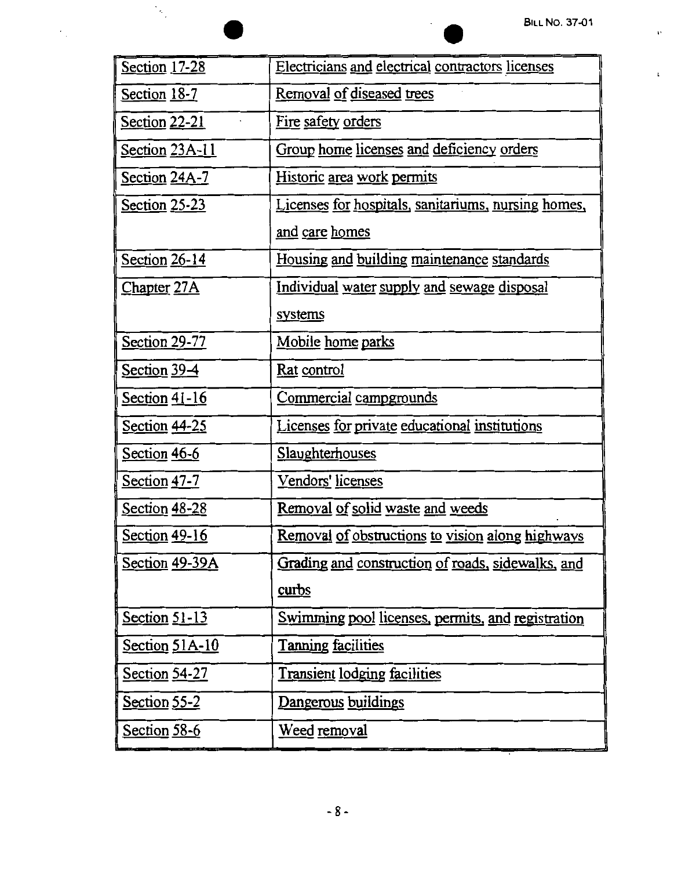$\mathbf{v}$ 

 $\bar{\psi}$ 

| $\gamma_{\rm g}$     | <b>BILL NO. 37-01</b>                               |
|----------------------|-----------------------------------------------------|
| Section 17-28        | Electricians and electrical contractors licenses    |
| <b>Section 18-7</b>  | Removal of diseased trees                           |
| Section 22-21        | Fire safety orders                                  |
| Section 23A-11       | Group home licenses and deficiency orders           |
| <b>Section 24A-7</b> | Historic area work permits                          |
| Section 25-23        | Licenses for hospitals, sanitariums, nursing homes, |
|                      | <u>and care homes</u>                               |
| Section 26-14        | Housing and building maintenance standards          |
| <b>Chapter 27A</b>   | <u>Individual water supply and sewage disposal</u>  |
|                      | systems                                             |
| Section 29-77        | Mobile home parks                                   |
| Section $39-4$       | Rat control                                         |
| Section 41-16        | Commercial campgrounds                              |
| Section 44-25        | Licenses for private educational institutions       |
| <u>Section 46-6</u>  | <b>Slaughterhouses</b>                              |
| Section 47-7         | Vendors' licenses                                   |
| Section 48-28        | Removal of solid waste and weeds                    |
| Section 49-16        | Removal of obstructions to vision along highways    |
| Section 49-39A       | Grading and construction of roads, sidewalks, and   |
|                      | <u>curbs</u>                                        |
| Section $51-13$      | Swimming pool licenses, permits, and registration   |
| Section 51A-10       | <b>Tanning facilities</b>                           |
| Section 54-27        | <b>Transient lodging facilities</b>                 |
| Section 55-2         | Dangerous buildings                                 |
| <u>Section</u> 58-6  | <u>Weed removal</u>                                 |

 $\epsilon_{\rm g}$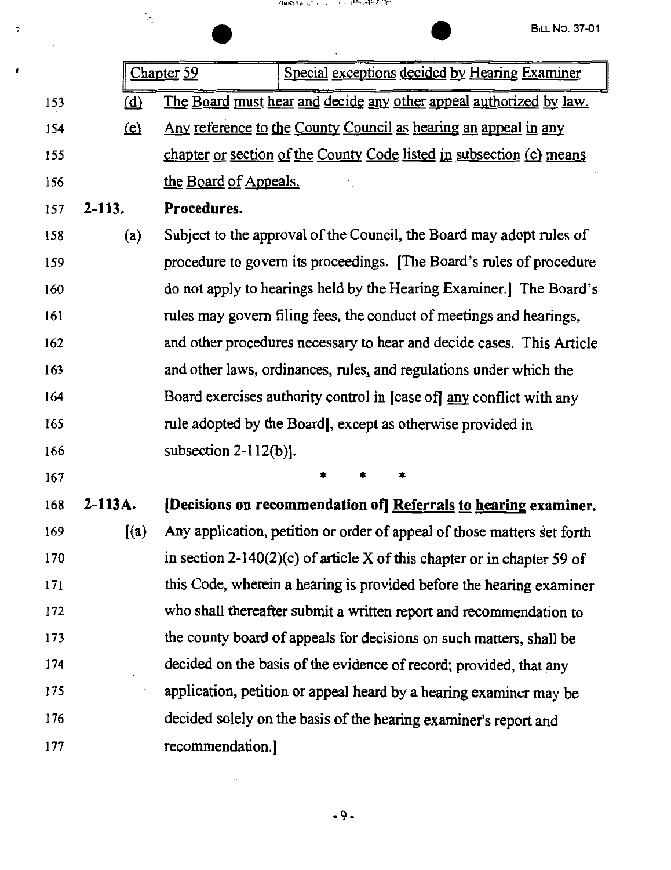$\sigma$ 

 $\pmb{\cdot}$ 

|     |            | Ņ.         |                                                                       | (状態はあった) インディー・トラン はつうはつせいけい<br><b>BILL NO. 37-01</b>                   |  |
|-----|------------|------------|-----------------------------------------------------------------------|-------------------------------------------------------------------------|--|
|     |            |            |                                                                       |                                                                         |  |
|     |            |            | Chapter <sub>59</sub>                                                 | Special exceptions decided by Hearing Examiner                          |  |
| 153 |            | <u>(d)</u> |                                                                       | The Board must hear and decide any other appeal authorized by law.      |  |
| 154 |            | (e)        |                                                                       | <u>Any reference to the County Council as hearing an appeal in any</u>  |  |
| 155 |            |            | chapter or section of the County Code listed in subsection (c) means  |                                                                         |  |
| 156 |            |            | the Board of Appeals.                                                 |                                                                         |  |
| 157 | $2 - 113.$ |            | Procedures.                                                           |                                                                         |  |
| 158 |            | (a)        |                                                                       | Subject to the approval of the Council, the Board may adopt rules of    |  |
| 159 |            |            |                                                                       | procedure to govern its proceedings. [The Board's rules of procedure    |  |
| 160 |            |            |                                                                       | do not apply to hearings held by the Hearing Examiner.] The Board's     |  |
| 161 |            |            |                                                                       | rules may govern filing fees, the conduct of meetings and hearings,     |  |
| 162 |            |            | and other procedures necessary to hear and decide cases. This Article |                                                                         |  |
| 163 |            |            | and other laws, ordinances, rules, and regulations under which the    |                                                                         |  |
| 164 |            |            | Board exercises authority control in [case of] any conflict with any  |                                                                         |  |
| 165 |            |            | rule adopted by the Board, except as otherwise provided in            |                                                                         |  |
| 166 |            |            | subsection $2-112(b)$ ].                                              |                                                                         |  |
| 167 |            |            |                                                                       |                                                                         |  |
| 168 | 2-113A.    |            |                                                                       | [Decisions on recommendation of] Referrals to hearing examiner.         |  |
| 169 |            | (a)        |                                                                       | Any application, petition or order of appeal of those matters set forth |  |
| 170 |            |            |                                                                       | in section 2-140(2)(c) of article X of this chapter or in chapter 59 of |  |
| 171 |            |            |                                                                       | this Code, wherein a hearing is provided before the hearing examiner    |  |
| 172 |            |            |                                                                       | who shall thereafter submit a written report and recommendation to      |  |
| 173 |            |            |                                                                       | the county board of appeals for decisions on such matters, shall be     |  |
| 174 |            |            |                                                                       | decided on the basis of the evidence of record; provided, that any      |  |
| 175 |            |            |                                                                       | application, petition or appeal heard by a hearing examiner may be      |  |
| 176 |            |            |                                                                       | decided solely on the basis of the hearing examiner's report and        |  |
| 177 |            |            | recommendation.]                                                      |                                                                         |  |

-9-

 $\sim$   $\sim$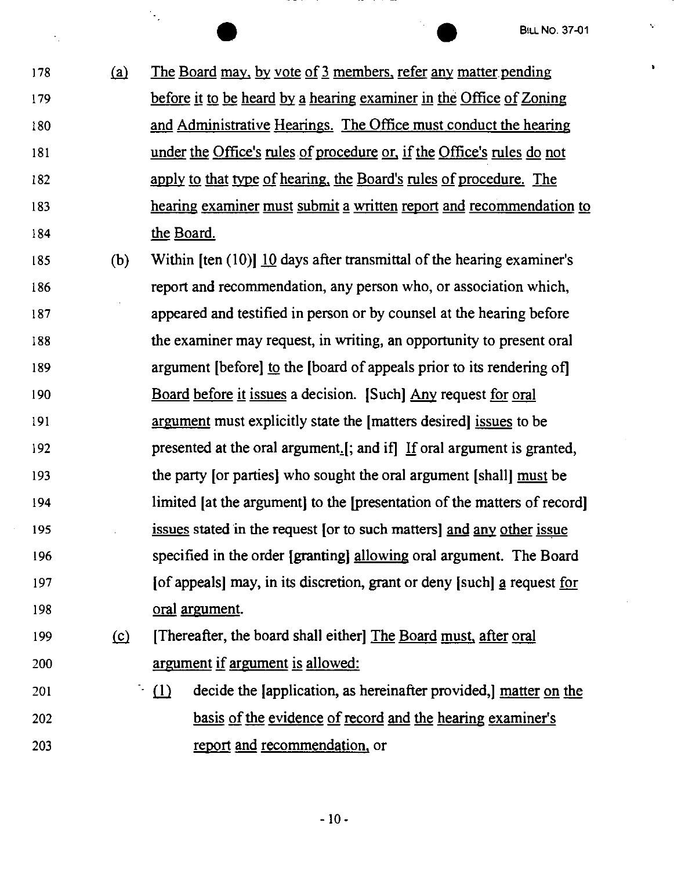k,

<sup>178</sup> <sup>EILL NO. 37-01</sup><br>
178 (a) The Board may, by vote of 3 members, refer any matter pending 179 before it to be heard by a hearing examiner in the Office of Zoning 180 181 182 183 184 and Administrative Hearings. The Office must conduct the hearing under the Office's rules of procedure or, if the Office's rules do not apply to that type of hearing, the Board's rules of procedure. The hearing examiner must submit a written report and recommendation to the Board.

 $\mathcal{L}_1$ 

185 (b) Within [ten  $(10)$ ]  $\overline{10}$  days after transmittal of the hearing examiner's 186 187 188 189 190 191 192 193 194 195 196 197 report and recommendation, any person who, or association which, appeared and testified in person or by counsel at the hearing before the examiner may request, in writing, an opportunity to present oral argument [before) to the [board of appeals prior to its rendering of] Board before it issues a decision. (Such) Any request for oral argument must explicitly state the [ matters desired) issues to be presented at the oral argument.  $\left[ \cdot \right]$ ; and if  $\left[ \cdot \right]$  if oral argument is granted, the party [or parties) who sought the oral argument [shall] must be limited [at the argument] to the [presentation of the matters of record] issues stated in the request [or to such matters] and any other issue specified in the order [granting) allowing oral argument. The Board [of appeals] may, in its discretion, grant or deny [such] a request for 198 oral argument.

## 199 (c) [Thereafter, the board shall either] The Board must, after oral 200 argument if argument is allowed:

201 202 203  $\lceil \cdot (1) \rceil$  decide the [application, as hereinafter provided,] matter on the basis of the evidence of record and the hearing examiner's report and recommendation. or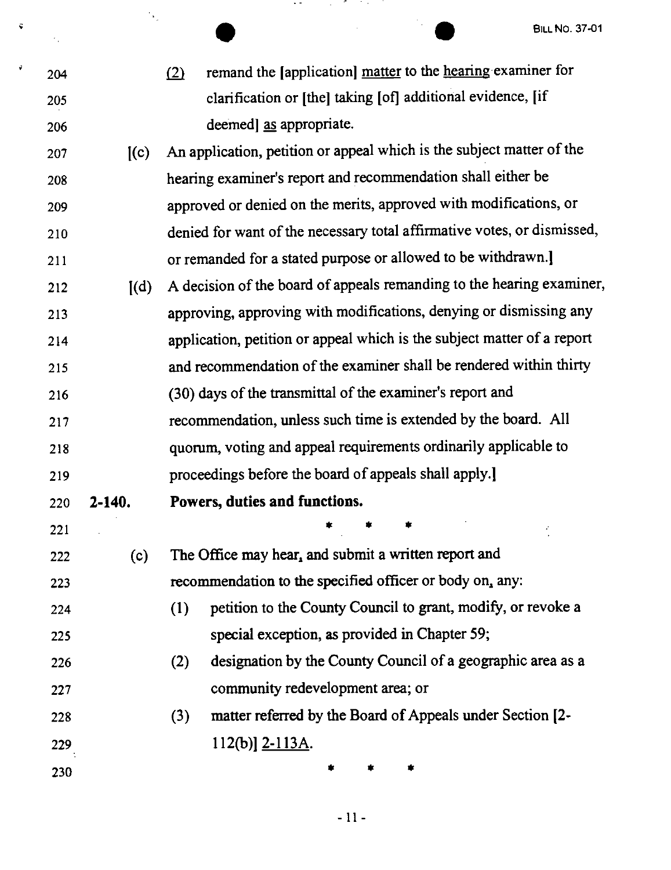204 205

 $\mathcal{F}_\alpha$ 

 $\tilde{\mathbf{v}}$ 

Å

 $\mathcal{N}_\mathrm{c}$ 

206

<sup>11</sup> BILL NO. 37-01<br> **identify** the lapplication <u>matter</u> to the <u>hearing</u> examiner for clarification or [the] taking [of] additional evidence, [if deemed] as appropriate.

- 207 [(c) 208 209 210 211  $212$  [(d) 213 214 215 216 An application, petition or appeal which is the subject matter of the hearing examiner's report and recommendation shall either be approved or denied on the merits, approved with modifications, or denied for want of the necessary total affirmative votes, or dismissed, or remanded for a stated purpose or allowed to be withdrawn.] A decision of the board of appeals remanding to the hearing examiner, approving, approving with modifications, denying or dismissing any application, petition or appeal which is the subject matter of a report and recommendation of the examiner shall be rendered within thirty (30) days of the transmittal of the examiner's report and
- 217 218 219 recommendation, unless such time is extended by the board. All quorum, voting and appeal requirements ordinarily applicable to proceedings before the board of appeals shall apply.]
- 220 **2-140. Powers, duties and functions.**
- 221
- 

223

222 (c) The Office may hear, and submit a written report and recommendation to the specified officer or body on, any:

- 224 225 (I) petition to the County Council to grant, modify, or revoke a special exception, as provided in Chapter 59;
- 226 227 (2) designation by the County Council of a geographic area as a community redevelopment area; or
- 228 229 (3) matter referred by the Board of Appeals under Section (2- 112(b)] 2-l 13A.
- 230

• • •

 $\ddot{\bullet}$   $\ddot{\bullet}$   $\ddot{\bullet}$   $\ddot{\bullet}$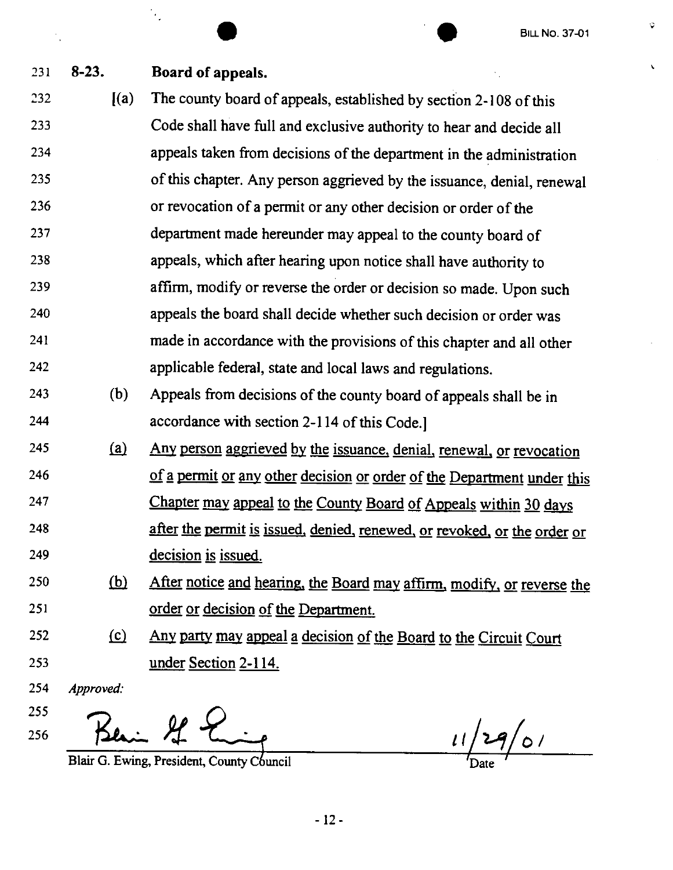$\phi$ 

 $\bar{\mathbf{v}}$ 

|     |            | <b>BILL No. 37-01</b>                                                    |
|-----|------------|--------------------------------------------------------------------------|
| 231 | $8-23.$    | Board of appeals.                                                        |
| 232 | (a)        | The county board of appeals, established by section 2-108 of this        |
| 233 |            | Code shall have full and exclusive authority to hear and decide all      |
| 234 |            | appeals taken from decisions of the department in the administration     |
| 235 |            | of this chapter. Any person aggrieved by the issuance, denial, renewal   |
| 236 |            | or revocation of a permit or any other decision or order of the          |
| 237 |            | department made hereunder may appeal to the county board of              |
| 238 |            | appeals, which after hearing upon notice shall have authority to         |
| 239 |            | affirm, modify or reverse the order or decision so made. Upon such       |
| 240 |            | appeals the board shall decide whether such decision or order was        |
| 241 |            | made in accordance with the provisions of this chapter and all other     |
| 242 |            | applicable federal, state and local laws and regulations.                |
| 243 | (b)        | Appeals from decisions of the county board of appeals shall be in        |
| 244 |            | accordance with section 2-114 of this Code.]                             |
| 245 | (a)        | Any person aggrieved by the issuance, denial, renewal, or revocation     |
| 246 |            | of a permit or any other decision or order of the Department under this  |
| 247 |            | Chapter may appeal to the County Board of Appeals within 30 days         |
| 248 |            | after the permit is issued, denied, renewed, or revoked, or the order or |
| 249 |            | decision is issued.                                                      |
| 250 | <u>(b)</u> | After notice and hearing, the Board may affirm, modify, or reverse the   |
| 251 |            | <u>order or decision of the Department.</u>                              |
| 252 | $\Omega$   | Any party may appeal a decision of the Board to the Circuit Court        |
| 253 |            | <u>under Section 2-114.</u>                                              |
| 254 | Approved:  |                                                                          |
| 255 |            |                                                                          |
| 256 |            | 11/29/01                                                                 |

Blair G. Ewing, President, County Council

 $\sqrt{\text{Date}}$  $\overline{r}$